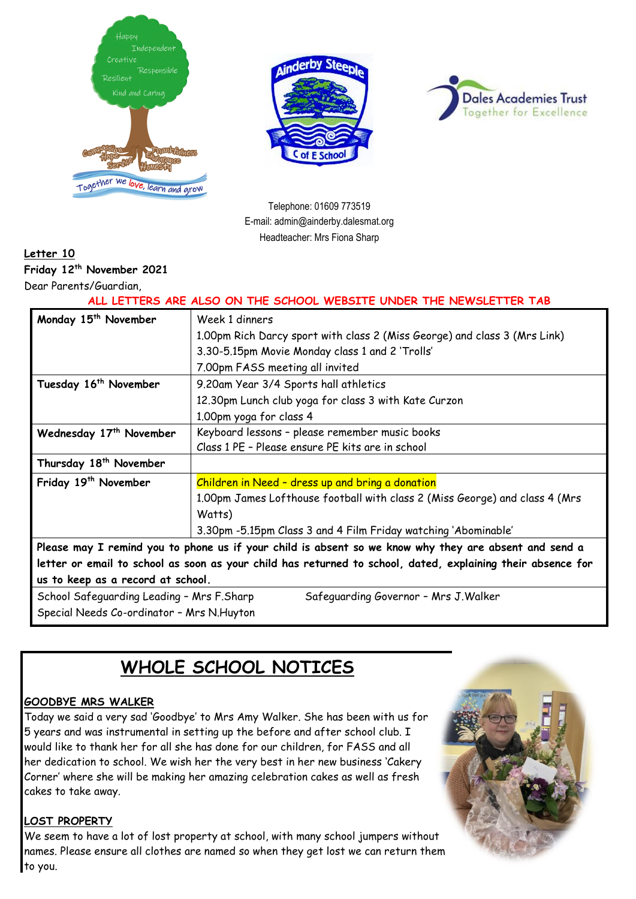





Telephone: 01609 773519 E-mail: admin@ainderby.dalesmat.org Headteacher: Mrs Fiona Sharp

### **Letter 10**

**Friday 12th November 2021**

Dear Parents/Guardian,

**ALL LETTERS ARE ALSO ON THE SCHOOL WEBSITE UNDER THE NEWSLETTER TAB**

| Monday 15 <sup>th</sup> November                                                                            | Week 1 dinners                                                              |  |
|-------------------------------------------------------------------------------------------------------------|-----------------------------------------------------------------------------|--|
|                                                                                                             | 1.00pm Rich Darcy sport with class 2 (Miss George) and class 3 (Mrs Link)   |  |
|                                                                                                             | 3.30-5.15pm Movie Monday class 1 and 2 'Trolls'                             |  |
|                                                                                                             | 7.00pm FASS meeting all invited                                             |  |
| Tuesday 16 <sup>th</sup> November                                                                           | 9.20am Year 3/4 Sports hall athletics                                       |  |
|                                                                                                             | 12.30pm Lunch club yoga for class 3 with Kate Curzon                        |  |
|                                                                                                             | 1.00pm yoga for class 4                                                     |  |
| Wednesday 17th November                                                                                     | Keyboard lessons - please remember music books                              |  |
|                                                                                                             | Class 1 PE - Please ensure PE kits are in school                            |  |
| Thursday 18 <sup>th</sup> November                                                                          |                                                                             |  |
| Friday 19 <sup>th</sup> November                                                                            | Children in Need - dress up and bring a donation                            |  |
|                                                                                                             | 1.00pm James Lofthouse football with class 2 (Miss George) and class 4 (Mrs |  |
|                                                                                                             | Watts)                                                                      |  |
|                                                                                                             | 3.30pm -5.15pm Class 3 and 4 Film Friday watching 'Abominable'              |  |
| Please may I remind you to phone us if your child is absent so we know why they are absent and send a       |                                                                             |  |
| letter or email to school as soon as your child has returned to school, dated, explaining their absence for |                                                                             |  |
| us to keep as a record at school.                                                                           |                                                                             |  |
| School Safeguarding Leading - Mrs F.Sharp<br>Safeguarding Governor - Mrs J. Walker                          |                                                                             |  |

Special Needs Co-ordinator – Mrs N.Huyton

**WHOLE SCHOOL NOTICES**

### **GOODBYE MRS WALKER**

Today we said a very sad 'Goodbye' to Mrs Amy Walker. She has been with us for 5 years and was instrumental in setting up the before and after school club. I would like to thank her for all she has done for our children, for FASS and all her dedication to school. We wish her the very best in her new business 'Cakery Corner' where she will be making her amazing celebration cakes as well as fresh cakes to take away.

#### **LOST PROPERTY**

We seem to have a lot of lost property at school, with many school jumpers without names. Please ensure all clothes are named so when they get lost we can return them to you.

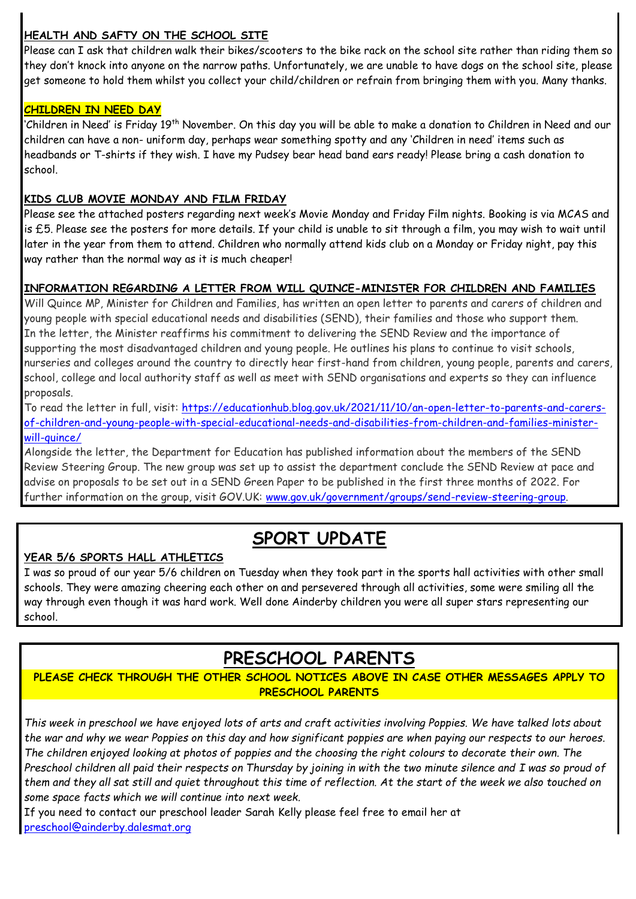### **HEALTH AND SAFTY ON THE SCHOOL SITE**

Please can I ask that children walk their bikes/scooters to the bike rack on the school site rather than riding them so they don't knock into anyone on the narrow paths. Unfortunately, we are unable to have dogs on the school site, please get someone to hold them whilst you collect your child/children or refrain from bringing them with you. Many thanks.

### **CHILDREN IN NEED DAY**

'Children in Need' is Friday 19th November. On this day you will be able to make a donation to Children in Need and our children can have a non- uniform day, perhaps wear something spotty and any 'Children in need' items such as headbands or T-shirts if they wish. I have my Pudsey bear head band ears ready! Please bring a cash donation to school.

### **KIDS CLUB MOVIE MONDAY AND FILM FRIDAY**

Please see the attached posters regarding next week's Movie Monday and Friday Film nights. Booking is via MCAS and is £5. Please see the posters for more details. If your child is unable to sit through a film, you may wish to wait until later in the year from them to attend. Children who normally attend kids club on a Monday or Friday night, pay this way rather than the normal way as it is much cheaper!

### **INFORMATION REGARDING A LETTER FROM WILL QUINCE-MINISTER FOR CHILDREN AND FAMILIES**

Will Quince MP, Minister for Children and Families, has written an open letter to parents and carers of children and young people with special educational needs and disabilities (SEND), their families and those who support them. In the letter, the Minister reaffirms his commitment to delivering the SEND Review and the importance of supporting the most disadvantaged children and young people. He outlines his plans to continue to visit schools, nurseries and colleges around the country to directly hear first-hand from children, young people, parents and carers, school, college and local authority staff as well as meet with SEND organisations and experts so they can influence proposals.

To read the letter in full, visit: [https://educationhub.blog.gov.uk/2021/11/10/an-open-letter-to-parents-and-carers](https://imsva91-ctp.trendmicro.com/wis/clicktime/v1/query?url=https%3a%2f%2feducationhub.blog.gov.uk%2f2021%2f11%2f10%2fan%2dopen%2dletter%2dto%2dparents%2dand%2dcarers%2dof%2dchildren%2dand%2dyoung%2dpeople%2dwith%2dspecial%2deducational%2dneeds%2dand%2ddisabilities%2dfrom%2dchildren%2dand%2dfamilies%2dminister%2dwill%2dquince%2f&umid=4A5D9000-D082-9D05-8BD9-9F63D8140B37&auth=de41389fcd07b045c2bf0b8b6a6bb2cde097bfb7-7a052a087f293e7ec02ebb069e4e5766505a24e9)[of-children-and-young-people-with-special-educational-needs-and-disabilities-from-children-and-families-minister](https://imsva91-ctp.trendmicro.com/wis/clicktime/v1/query?url=https%3a%2f%2feducationhub.blog.gov.uk%2f2021%2f11%2f10%2fan%2dopen%2dletter%2dto%2dparents%2dand%2dcarers%2dof%2dchildren%2dand%2dyoung%2dpeople%2dwith%2dspecial%2deducational%2dneeds%2dand%2ddisabilities%2dfrom%2dchildren%2dand%2dfamilies%2dminister%2dwill%2dquince%2f&umid=4A5D9000-D082-9D05-8BD9-9F63D8140B37&auth=de41389fcd07b045c2bf0b8b6a6bb2cde097bfb7-7a052a087f293e7ec02ebb069e4e5766505a24e9)[will-quince/](https://imsva91-ctp.trendmicro.com/wis/clicktime/v1/query?url=https%3a%2f%2feducationhub.blog.gov.uk%2f2021%2f11%2f10%2fan%2dopen%2dletter%2dto%2dparents%2dand%2dcarers%2dof%2dchildren%2dand%2dyoung%2dpeople%2dwith%2dspecial%2deducational%2dneeds%2dand%2ddisabilities%2dfrom%2dchildren%2dand%2dfamilies%2dminister%2dwill%2dquince%2f&umid=4A5D9000-D082-9D05-8BD9-9F63D8140B37&auth=de41389fcd07b045c2bf0b8b6a6bb2cde097bfb7-7a052a087f293e7ec02ebb069e4e5766505a24e9)

Alongside the letter, the Department for Education has published information about the members of the SEND Review Steering Group. The new group was set up to assist the department conclude the SEND Review at pace and advise on proposals to be set out in a SEND Green Paper to be published in the first three months of 2022. For further information on the group, visit GOV.UK: [www.gov.uk/government/groups/send-review-steering-group.](https://imsva91-ctp.trendmicro.com/wis/clicktime/v1/query?url=https%3a%2f%2fwww.gov.uk%2fgovernment%2fgroups%2fsend%2dreview%2dsteering%2dgroup&umid=4A5D9000-D082-9D05-8BD9-9F63D8140B37&auth=de41389fcd07b045c2bf0b8b6a6bb2cde097bfb7-8f05fc2c22f781c20b76ecb4dd9fd94b8cd1e7bf)

## **SPORT UPDATE**

### **YEAR 5/6 SPORTS HALL ATHLETICS**

I was so proud of our year 5/6 children on Tuesday when they took part in the sports hall activities with other small schools. They were amazing cheering each other on and persevered through all activities, some were smiling all the way through even though it was hard work. Well done Ainderby children you were all super stars representing our school.

# **PRESCHOOL PARENTS**

### **PLEASE CHECK THROUGH THE OTHER SCHOOL NOTICES ABOVE IN CASE OTHER MESSAGES APPLY TO PRESCHOOL PARENTS**

*This week in preschool we have enjoyed lots of arts and craft activities involving Poppies. We have talked lots about the war and why we wear Poppies on this day and how significant poppies are when paying our respects to our heroes. The children enjoyed looking at photos of poppies and the choosing the right colours to decorate their own. The Preschool children all paid their respects on Thursday by joining in with the two minute silence and I was so proud of them and they all sat still and quiet throughout this time of reflection. At the start of the week we also touched on some space facts which we will continue into next week.*

If you need to contact our preschool leader Sarah Kelly please feel free to email her at [preschool@ainderby.dalesmat.org](mailto:preschool@ainderby.dalesmat.org)